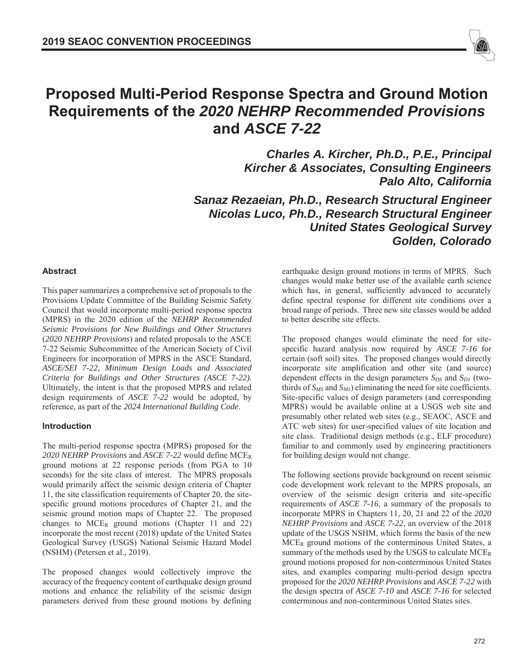

# **Proposed Multi-Period Response Spectra and Ground Motion Requirements of the** *2020 NEHRP Recommended Provisions* **and** *ASCE 7-22*

*Charles A. Kircher, Ph.D., P.E., Principal Kircher & Associates, Consulting Engineers Palo Alto, California* 

*Sanaz Rezaeian, Ph.D., Research Structural Engineer Nicolas Luco, Ph.D., Research Structural Engineer United States Geological Survey Golden, Colorado* 

#### **Abstract**

This paper summarizes a comprehensive set of proposals to the Provisions Update Committee of the Building Seismic Safety Council that would incorporate multi-period response spectra (MPRS) in the 2020 edition of the *NEHRP Recommended Seismic Provisions for New Buildings and Other Structures* (*2020 NEHRP Provisions*) and related proposals to the ASCE 7-22 Seismic Subcommittee of the American Society of Civil Engineers for incorporation of MPRS in the ASCE Standard, *ASCE/SEI 7-22, Minimum Design Loads and Associated Criteria for Buildings and Other Structures (ASCE 7-22).* Ultimately, the intent is that the proposed MPRS and related design requirements of *ASCE 7-22* would be adopted, by reference, as part of the *2024 International Building Code*.

#### **Introduction**

The multi-period response spectra (MPRS) proposed for the *2020 NEHRP Provisions* and *ASCE 7-22* would define MCER ground motions at 22 response periods (from PGA to 10 seconds) for the site class of interest. The MPRS proposals would primarily affect the seismic design criteria of Chapter 11, the site classification requirements of Chapter 20, the sitespecific ground motions procedures of Chapter 21, and the seismic ground motion maps of Chapter 22. The proposed changes to  $MCE_R$  ground motions (Chapter 11 and 22) incorporate the most recent (2018) update of the United States Geological Survey (USGS) National Seismic Hazard Model (NSHM) (Petersen et al., 2019).

The proposed changes would collectively improve the accuracy of the frequency content of earthquake design ground motions and enhance the reliability of the seismic design parameters derived from these ground motions by defining earthquake design ground motions in terms of MPRS. Such changes would make better use of the available earth science which has, in general, sufficiently advanced to accurately define spectral response for different site conditions over a broad range of periods. Three new site classes would be added to better describe site effects.

The proposed changes would eliminate the need for sitespecific hazard analysis now required by *ASCE 7-16* for certain (soft soil) sites. The proposed changes would directly incorporate site amplification and other site (and source) dependent effects in the design parameters  $S_{DS}$  and  $S_{DI}$  (twothirds of  $S_{MS}$  and  $S_{MI}$ ) eliminating the need for site coefficients. Site-specific values of design parameters (and corresponding MPRS) would be available online at a USGS web site and presumably other related web sites (e.g., SEAOC, ASCE and ATC web sites) for user-specified values of site location and site class. Traditional design methods (e.g., ELF procedure) familiar to and commonly used by engineering practitioners for building design would not change.

The following sections provide background on recent seismic code development work relevant to the MPRS proposals, an overview of the seismic design criteria and site-specific requirements of *ASCE 7-16*, a summary of the proposals to incorporate MPRS in Chapters 11, 20, 21 and 22 of the *2020 NEHRP Provisions* and *ASCE 7-22*, an overview of the 2018 update of the USGS NSHM, which forms the basis of the new MCER ground motions of the conterminous United States, a summary of the methods used by the USGS to calculate MCER ground motions proposed for non-conterminous United States sites, and examples comparing multi-period design spectra proposed for the *2020 NEHRP Provisions* and *ASCE 7-22* with the design spectra of *ASCE 7-10* and *ASCE 7-16* for selected conterminous and non-conterminous United States sites.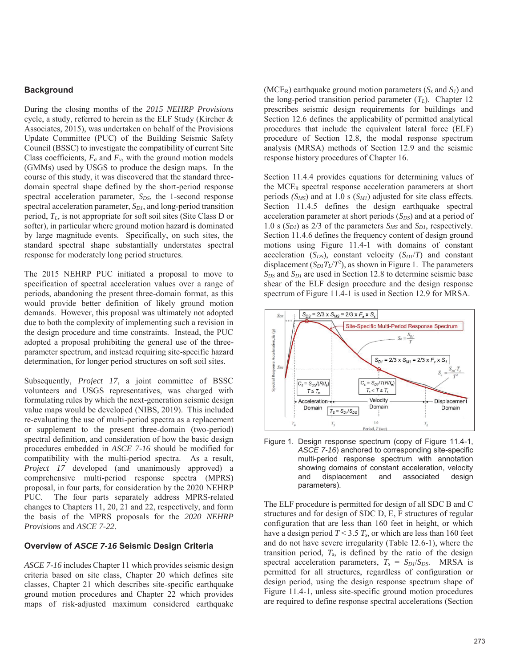## **Background**

During the closing months of the *2015 NEHRP Provisions* cycle, a study, referred to herein as the ELF Study (Kircher & Associates, 2015), was undertaken on behalf of the Provisions Update Committee (PUC) of the Building Seismic Safety Council (BSSC) to investigate the compatibility of current Site Class coefficients,  $F_a$  and  $F_v$ , with the ground motion models (GMMs) used by USGS to produce the design maps. In the course of this study, it was discovered that the standard threedomain spectral shape defined by the short-period response spectral acceleration parameter, *S<sub>DS</sub>*, the 1-second response spectral acceleration parameter, *S<sub>D1</sub>*, and long-period transition period, *TL,* is not appropriate for soft soil sites (Site Class D or softer), in particular where ground motion hazard is dominated by large magnitude events. Specifically, on such sites, the standard spectral shape substantially understates spectral response for moderately long period structures.

The 2015 NEHRP PUC initiated a proposal to move to specification of spectral acceleration values over a range of periods, abandoning the present three-domain format, as this would provide better definition of likely ground motion demands. However, this proposal was ultimately not adopted due to both the complexity of implementing such a revision in the design procedure and time constraints. Instead, the PUC adopted a proposal prohibiting the general use of the threeparameter spectrum, and instead requiring site-specific hazard determination, for longer period structures on soft soil sites.

Subsequently, *Project 17*, a joint committee of BSSC volunteers and USGS representatives, was charged with formulating rules by which the next-generation seismic design value maps would be developed (NIBS, 2019). This included re-evaluating the use of multi-period spectra as a replacement or supplement to the present three-domain (two-period) spectral definition, and consideration of how the basic design procedures embedded in *ASCE 7-16* should be modified for compatibility with the multi-period spectra. As a result, *Project 17* developed (and unanimously approved) a comprehensive multi-period response spectra (MPRS) proposal, in four parts, for consideration by the 2020 NEHRP PUC. The four parts separately address MPRS-related changes to Chapters 11, 20, 21 and 22, respectively, and form the basis of the MPRS proposals for the *2020 NEHRP Provisions* and *ASCE 7-22*.

## **Overview of** *ASCE 7-16* **Seismic Design Criteria**

*ASCE 7-16* includes Chapter 11 which provides seismic design criteria based on site class, Chapter 20 which defines site classes, Chapter 21 which describes site-specific earthquake ground motion procedures and Chapter 22 which provides maps of risk-adjusted maximum considered earthquake

(MCER) earthquake ground motion parameters (*Ss* and *S1*) and the long-period transition period parameter  $(T_L)$ . Chapter 12 prescribes seismic design requirements for buildings and Section 12.6 defines the applicability of permitted analytical procedures that include the equivalent lateral force (ELF) procedure of Section 12.8, the modal response spectrum analysis (MRSA) methods of Section 12.9 and the seismic response history procedures of Chapter 16.

Section 11.4.4 provides equations for determining values of the  $MCE_R$  spectral response acceleration parameters at short periods  $(S_{MS})$  and at 1.0 s  $(S_{MI})$  adjusted for site class effects. Section 11.4.5 defines the design earthquake spectral acceleration parameter at short periods (*S<sub>DS</sub>*) and at a period of 1.0 s  $(S_{DI})$  as 2/3 of the parameters  $S_{MS}$  and  $S_{DI}$ , respectively. Section 11.4.6 defines the frequency content of design ground motions using Figure 11.4-1 with domains of constant acceleration  $(S_{DS})$ , constant velocity  $(S_{DI}/T)$  and constant displacement  $(S_D T_L/T^2)$ , as shown in Figure 1. The parameters *SDS* and *SD1* are used in Section 12.8 to determine seismic base shear of the ELF design procedure and the design response spectrum of Figure 11.4-1 is used in Section 12.9 for MRSA.



Figure 1. Design response spectrum (copy of Figure 11.4-1, *ASCE 7-16*) anchored to corresponding site-specific multi-period response spectrum with annotation showing domains of constant acceleration, velocity and displacement and associated design parameters).

The ELF procedure is permitted for design of all SDC B and C structures and for design of SDC D, E, F structures of regular configuration that are less than 160 feet in height, or which have a design period *T* < 3.5 *Ts*, or which are less than 160 feet and do not have severe irregularity (Table 12.6-1), where the transition period,  $T_s$ , is defined by the ratio of the design spectral acceleration parameters,  $T_s = S_{D1}/S_{DS}$ . MRSA is permitted for all structures, regardless of configuration or design period, using the design response spectrum shape of Figure 11.4-1, unless site-specific ground motion procedures are required to define response spectral accelerations (Section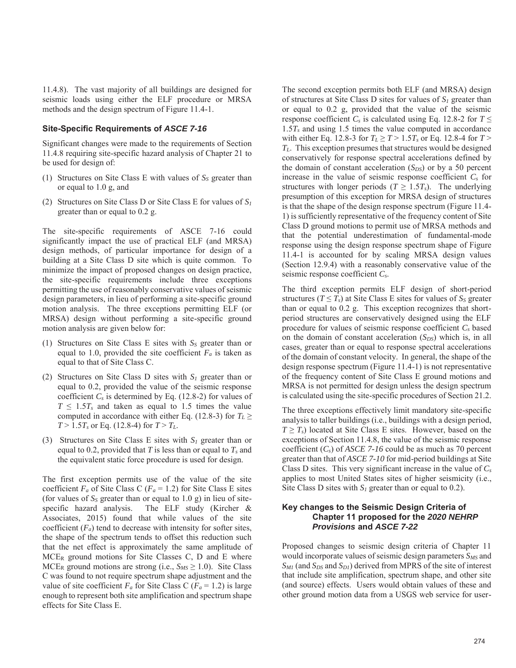11.4.8). The vast majority of all buildings are designed for seismic loads using either the ELF procedure or MRSA methods and the design spectrum of Figure 11.4-1.

#### **Site-Specific Requirements of** *ASCE 7-16*

Significant changes were made to the requirements of Section 11.4.8 requiring site-specific hazard analysis of Chapter 21 to be used for design of:

- (1) Structures on Site Class E with values of  $S<sub>S</sub>$  greater than or equal to 1.0 g, and
- (2) Structures on Site Class D or Site Class E for values of *S1* greater than or equal to 0.2 g.

The site-specific requirements of ASCE 7-16 could significantly impact the use of practical ELF (and MRSA) design methods, of particular importance for design of a building at a Site Class D site which is quite common. To minimize the impact of proposed changes on design practice, the site-specific requirements include three exceptions permitting the use of reasonably conservative values of seismic design parameters, in lieu of performing a site-specific ground motion analysis. The three exceptions permitting ELF (or MRSA) design without performing a site-specific ground motion analysis are given below for:

- (1) Structures on Site Class E sites with *SS* greater than or equal to 1.0, provided the site coefficient  $F_a$  is taken as equal to that of Site Class C.
- (2) Structures on Site Class D sites with *S1* greater than or equal to 0.2, provided the value of the seismic response coefficient  $C_s$  is determined by Eq. (12.8-2) for values of  $T \leq 1.5T_s$  and taken as equal to 1.5 times the value computed in accordance with either Eq. (12.8-3) for  $T_L \geq$  $T > 1.5T_s$  or Eq. (12.8-4) for  $T > T_L$ .
- (3) Structures on Site Class E sites with *S1* greater than or equal to 0.2, provided that *T* is less than or equal to *Ts* and the equivalent static force procedure is used for design.

The first exception permits use of the value of the site coefficient  $F_a$  of Site Class C ( $F_a$  = 1.2) for Site Class E sites (for values of  $S<sub>S</sub>$  greater than or equal to 1.0 g) in lieu of sitespecific hazard analysis. The ELF study (Kircher & Associates, 2015) found that while values of the site coefficient  $(F_a)$  tend to decrease with intensity for softer sites, the shape of the spectrum tends to offset this reduction such that the net effect is approximately the same amplitude of MCER ground motions for Site Classes C, D and E where  $MCE_R$  ground motions are strong (i.e.,  $S_{MS} \geq 1.0$ ). Site Class C was found to not require spectrum shape adjustment and the value of site coefficient  $F_a$  for Site Class C ( $F_a$  = 1.2) is large enough to represent both site amplification and spectrum shape effects for Site Class E.

The second exception permits both ELF (and MRSA) design of structures at Site Class D sites for values of *S1* greater than or equal to 0.2 g, provided that the value of the seismic response coefficient  $C_s$  is calculated using Eq. 12.8-2 for  $T \leq$ 1.5*Ts* and using 1.5 times the value computed in accordance with either Eq. 12.8-3 for  $T_L \ge T > 1.5T_s$  or Eq. 12.8-4 for  $T >$ *TL*. This exception presumes that structures would be designed conservatively for response spectral accelerations defined by the domain of constant acceleration  $(S_{DS})$  or by a 50 percent increase in the value of seismic response coefficient *Cs* for structures with longer periods ( $T \geq 1.5T_s$ ). The underlying presumption of this exception for MRSA design of structures is that the shape of the design response spectrum (Figure 11.4- 1) is sufficiently representative of the frequency content of Site Class D ground motions to permit use of MRSA methods and that the potential underestimation of fundamental-mode response using the design response spectrum shape of Figure 11.4-1 is accounted for by scaling MRSA design values (Section 12.9.4) with a reasonably conservative value of the seismic response coefficient *Cs*.

The third exception permits ELF design of short-period structures ( $T \leq T_s$ ) at Site Class E sites for values of  $S_s$  greater than or equal to 0.2 g. This exception recognizes that shortperiod structures are conservatively designed using the ELF procedure for values of seismic response coefficient *Cs* based on the domain of constant acceleration (*S<sub>DS</sub>*) which is, in all cases, greater than or equal to response spectral accelerations of the domain of constant velocity. In general, the shape of the design response spectrum (Figure 11.4-1) is not representative of the frequency content of Site Class E ground motions and MRSA is not permitted for design unless the design spectrum is calculated using the site-specific procedures of Section 21.2.

The three exceptions effectively limit mandatory site-specific analysis to taller buildings (i.e., buildings with a design period,  $T \geq T_s$ ) located at Site Class E sites. However, based on the exceptions of Section 11.4.8, the value of the seismic response coefficient  $(C_s)$  of *ASCE 7-16* could be as much as 70 percent greater than that of *ASCE 7-10* for mid-period buildings at Site Class D sites. This very significant increase in the value of *Cs* applies to most United States sites of higher seismicity (i.e., Site Class D sites with *S1* greater than or equal to 0.2).

#### **Key changes to the Seismic Design Criteria of Chapter 11 proposed for the** *2020 NEHRP Provisions* **and** *ASCE 7-22*

Proposed changes to seismic design criteria of Chapter 11 would incorporate values of seismic design parameters  $S_{MS}$  and  $S_{MI}$  (and  $S_{DS}$  and  $S_{DI}$ ) derived from MPRS of the site of interest that include site amplification, spectrum shape, and other site (and source) effects. Users would obtain values of these and other ground motion data from a USGS web service for user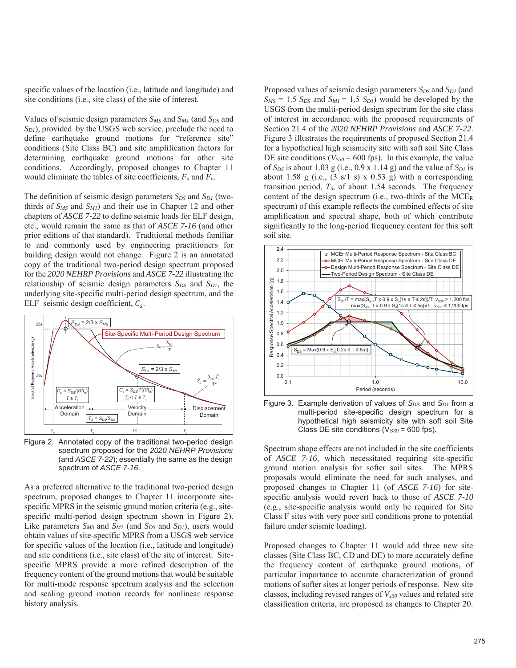specific values of the location (i.e., latitude and longitude) and site conditions (i.e., site class) of the site of interest.

Values of seismic design parameters *SMS* and *SM1* (and *SDS* and *S<sub>D1</sub>*), provided by the USGS web service, preclude the need to define earthquake ground motions for "reference site" conditions (Site Class BC) and site amplification factors for determining earthquake ground motions for other site conditions. Accordingly, proposed changes to Chapter 11 would eliminate the tables of site coefficients, *Fa* and *Fv*.

The definition of seismic design parameters  $S_{DS}$  and  $S_{DI}$  (twothirds of  $S_{MS}$  and  $S_{MI}$ ) and their use in Chapter 12 and other chapters of *ASCE 7-22* to define seismic loads for ELF design, etc., would remain the same as that of *ASCE 7-16* (and other prior editions of that standard). Traditional methods familiar to and commonly used by engineering practitioners for building design would not change. Figure 2 is an annotated copy of the traditional two-period design spectrum proposed for the *2020 NEHRP Provisions* and *ASCE 7-22* illustrating the relationship of seismic design parameters  $S_{DS}$  and  $S_{DI}$ , the underlying site-specific multi-period design spectrum, and the ELF seismic design coefficient,  $C_s$ .



Figure 2. Annotated copy of the traditional two-period design spectrum proposed for the *2020 NEHRP Provisions* (and *ASCE 7-22*); essentially the same as the design spectrum of *ASCE 7-16*.

As a preferred alternative to the traditional two-period design spectrum, proposed changes to Chapter 11 incorporate sitespecific MPRS in the seismic ground motion criteria (e.g., sitespecific multi-period design spectrum shown in Figure 2). Like parameters  $S_{MS}$  and  $S_{MI}$  (and  $S_{DS}$  and  $S_{DI}$ ), users would obtain values of site-specific MPRS from a USGS web service for specific values of the location (i.e., latitude and longitude) and site conditions (i.e., site class) of the site of interest. Sitespecific MPRS provide a more refined description of the frequency content of the ground motions that would be suitable for multi-mode response spectrum analysis and the selection and scaling ground motion records for nonlinear response history analysis.

Proposed values of seismic design parameters *S<sub>DS</sub>* and *S<sub>D1</sub>* (and  $S_{MS} = 1.5 S_{DS}$  and  $S_{MI} = 1.5 S_{DI}$  would be developed by the USGS from the multi-period design spectrum for the site class of interest in accordance with the proposed requirements of Section 21.4 of the *2020 NEHRP Provisions* and *ASCE 7-22*. Figure 3 illustrates the requirements of proposed Section 21.4 for a hypothetical high seismicity site with soft soil Site Class DE site conditions ( $V_{S30}$  = 600 fps). In this example, the value of  $S_{DS}$  is about 1.03 g (i.e., 0.9 x 1.14 g) and the value of  $S_{DI}$  is about 1.58 g (i.e.,  $(3 \text{ s}/1 \text{ s}) \times (0.53 \text{ g})$  with a corresponding transition period,  $T<sub>S</sub>$ , of about 1.54 seconds. The frequency content of the design spectrum (i.e., two-thirds of the  $MCE_R$ spectrum) of this example reflects the combined effects of site amplification and spectral shape, both of which contribute significantly to the long-period frequency content for this soft soil site.



Figure 3. Example derivation of values of *S<sub>DS</sub>* and *S<sub>D1</sub>* from a multi-period site-specific design spectrum for a hypothetical high seismicity site with soft soil Site Class DE site conditions (V*S30* = 600 fps).

Spectrum shape effects are not included in the site coefficients of *ASCE 7-16,* which necessitated requiring site-specific ground motion analysis for softer soil sites. The MPRS proposals would eliminate the need for such analyses, and proposed changes to Chapter 11 (of *ASCE 7-16*) for sitespecific analysis would revert back to those of *ASCE 7-10* (e.g., site-specific analysis would only be required for Site Class F sites with very poor soil conditions prone to potential failure under seismic loading).

Proposed changes to Chapter 11 would add three new site classes (Site Class BC, CD and DE) to more accurately define the frequency content of earthquake ground motions, of particular importance to accurate characterization of ground motions of softer sites at longer periods of response. New site classes, including revised ranges of *Vs30* values and related site classification criteria, are proposed as changes to Chapter 20.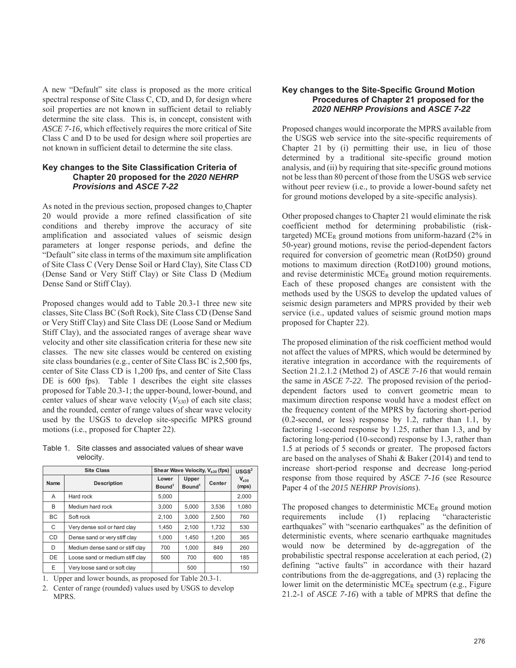A new "Default" site class is proposed as the more critical spectral response of Site Class C, CD, and D, for design where soil properties are not known in sufficient detail to reliably determine the site class. This is, in concept, consistent with *ASCE 7-16,* which effectively requires the more critical of Site Class C and D to be used for design where soil properties are not known in sufficient detail to determine the site class.

## **Key changes to the Site Classification Criteria of Chapter 20 proposed for the** *2020 NEHRP Provisions* **and** *ASCE 7-22*

As noted in the previous section, proposed changes to Chapter 20 would provide a more refined classification of site conditions and thereby improve the accuracy of site amplification and associated values of seismic design parameters at longer response periods, and define the "Default" site class in terms of the maximum site amplification of Site Class C (Very Dense Soil or Hard Clay), Site Class CD (Dense Sand or Very Stiff Clay) or Site Class D (Medium Dense Sand or Stiff Clay).

Proposed changes would add to Table 20.3-1 three new site classes, Site Class BC (Soft Rock), Site Class CD (Dense Sand or Very Stiff Clay) and Site Class DE (Loose Sand or Medium Stiff Clay), and the associated ranges of average shear wave velocity and other site classification criteria for these new site classes. The new site classes would be centered on existing site class boundaries (e.g., center of Site Class BC is 2,500 fps, center of Site Class CD is 1,200 fps, and center of Site Class DE is 600 fps). Table 1 describes the eight site classes proposed for Table 20.3-1; the upper-bound, lower-bound, and center values of shear wave velocity  $(V_{S30})$  of each site class; and the rounded, center of range values of shear wave velocity used by the USGS to develop site-specific MPRS ground motions (i.e., proposed for Chapter 22).

| Table 1. Site classes and associated values of shear wave |
|-----------------------------------------------------------|
| velocity.                                                 |

| <b>Site Class</b> |                                 | Shear Wave Velocity, V <sub>s30</sub> (fps) |                             |        | USGS <sup>2</sup>  |
|-------------------|---------------------------------|---------------------------------------------|-----------------------------|--------|--------------------|
| Name              | <b>Description</b>              | Lower<br>Bound <sup>1</sup>                 | Upper<br>Bound <sup>1</sup> | Center | $V_{s30}$<br>(mps) |
| A                 | Hard rock                       | 5,000                                       |                             |        | 2,000              |
| B                 | Medium hard rock                | 3,000                                       | 5,000                       | 3.536  | 1,080              |
| BC                | Soft rock                       | 2.100                                       | 3.000                       | 2.500  | 760                |
| C                 | Very dense soil or hard clay    | 1,450                                       | 2,100                       | 1,732  | 530                |
| CD                | Dense sand or very stiff clay   | 1.000                                       | 1.450                       | 1,200  | 365                |
| D                 | Medium dense sand or stiff clay | 700                                         | 1.000                       | 849    | 260                |
| DE                | Loose sand or medium stiff clay | 500                                         | 700                         | 600    | 185                |
| E                 | Very loose sand or soft clay    |                                             | 500                         |        | 150                |

1. Upper and lower bounds, as proposed for Table 20.3-1.

2. Center of range (rounded) values used by USGS to develop MPRS.

## **Key changes to the Site-Specific Ground Motion Procedures of Chapter 21 proposed for the**  *2020 NEHRP Provisions* **and** *ASCE 7-22*

Proposed changes would incorporate the MPRS available from the USGS web service into the site-specific requirements of Chapter 21 by (i) permitting their use, in lieu of those determined by a traditional site-specific ground motion analysis, and (ii) by requiring that site-specific ground motions not be less than 80 percent of those from the USGS web service without peer review (i.e., to provide a lower-bound safety net for ground motions developed by a site-specific analysis).

Other proposed changes to Chapter 21 would eliminate the risk coefficient method for determining probabilistic (risktargeted) MCE<sub>R</sub> ground motions from uniform-hazard  $(2\%$  in 50-year) ground motions, revise the period-dependent factors required for conversion of geometric mean (RotD50) ground motions to maximum direction (RotD100) ground motions, and revise deterministic MCER ground motion requirements. Each of these proposed changes are consistent with the methods used by the USGS to develop the updated values of seismic design parameters and MPRS provided by their web service (i.e., updated values of seismic ground motion maps proposed for Chapter 22).

The proposed elimination of the risk coefficient method would not affect the values of MPRS, which would be determined by iterative integration in accordance with the requirements of Section 21.2.1.2 (Method 2) of *ASCE 7-16* that would remain the same in *ASCE 7-22*. The proposed revision of the perioddependent factors used to convert geometric mean to maximum direction response would have a modest effect on the frequency content of the MPRS by factoring short-period (0.2-second, or less) response by 1.2, rather than 1.1, by factoring 1-second response by 1.25, rather than 1.3, and by factoring long-period (10-second) response by 1.3, rather than 1.5 at periods of 5 seconds or greater. The proposed factors are based on the analyses of Shahi & Baker (2014) and tend to increase short-period response and decrease long-period response from those required by *ASCE 7-16* (see Resource Paper 4 of the *2015 NEHRP Provisions*).

The proposed changes to deterministic  $MCE_R$  ground motion requirements include (1) replacing "characteristic earthquakes" with "scenario earthquakes" as the definition of deterministic events, where scenario earthquake magnitudes would now be determined by de-aggregation of the probabilistic spectral response acceleration at each period, (2) defining "active faults" in accordance with their hazard contributions from the de-aggregations, and (3) replacing the lower limit on the deterministic MCER spectrum (e.g., Figure 21.2-1 of *ASCE 7-16*) with a table of MPRS that define the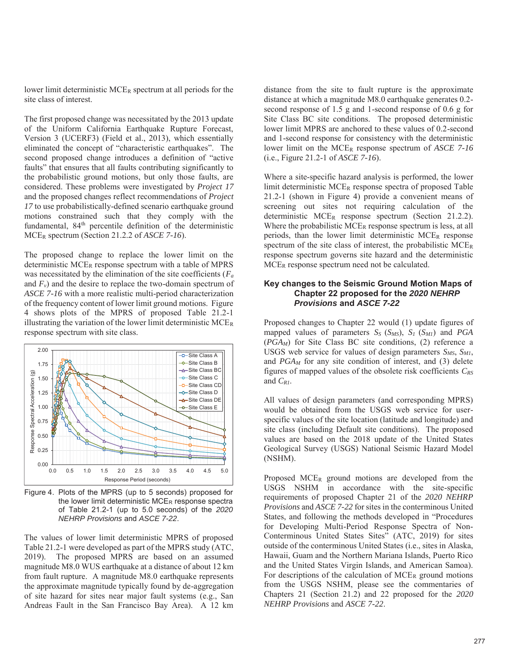lower limit deterministic MCER spectrum at all periods for the site class of interest.

The first proposed change was necessitated by the 2013 update of the Uniform California Earthquake Rupture Forecast, Version 3 (UCERF3) (Field et al., 2013), which essentially eliminated the concept of "characteristic earthquakes". The second proposed change introduces a definition of "active faults" that ensures that all faults contributing significantly to the probabilistic ground motions, but only those faults, are considered. These problems were investigated by *Project 17* and the proposed changes reflect recommendations of *Project 17* to use probabilistically-defined scenario earthquake ground motions constrained such that they comply with the fundamental, 84<sup>th</sup> percentile definition of the deterministic MCER spectrum (Section 21.2.2 of *ASCE 7-16*).

The proposed change to replace the lower limit on the deterministic MCER response spectrum with a table of MPRS was necessitated by the elimination of the site coefficients (*Fa* and  $F_v$ ) and the desire to replace the two-domain spectrum of *ASCE 7-16* with a more realistic multi-period characterization of the frequency content of lower limit ground motions. Figure 4 shows plots of the MPRS of proposed Table 21.2-1 illustrating the variation of the lower limit deterministic MCER response spectrum with site class.



Figure 4. Plots of the MPRS (up to 5 seconds) proposed for the lower limit deterministic MCER response spectra of Table 21.2-1 (up to 5.0 seconds) of the *2020 NEHRP Provisions* and *ASCE 7-22*.

The values of lower limit deterministic MPRS of proposed Table 21.2-1 were developed as part of the MPRS study (ATC, 2019). The proposed MPRS are based on an assumed magnitude M8.0 WUS earthquake at a distance of about 12 km from fault rupture. A magnitude M8.0 earthquake represents the approximate magnitude typically found by de-aggregation of site hazard for sites near major fault systems (e.g., San Andreas Fault in the San Francisco Bay Area). A 12 km

distance from the site to fault rupture is the approximate distance at which a magnitude M8.0 earthquake generates 0.2 second response of 1.5 g and 1-second response of 0.6 g for Site Class BC site conditions. The proposed deterministic lower limit MPRS are anchored to these values of 0.2-second and 1-second response for consistency with the deterministic lower limit on the MCER response spectrum of *ASCE 7-16* (i.e., Figure 21.2-1 of *ASCE 7-16*).

Where a site-specific hazard analysis is performed, the lower limit deterministic  $MCE_R$  response spectra of proposed Table 21.2-1 (shown in Figure 4) provide a convenient means of screening out sites not requiring calculation of the deterministic MCER response spectrum (Section 21.2.2). Where the probabilistic  $MCE_R$  response spectrum is less, at all periods, than the lower limit deterministic MCER response spectrum of the site class of interest, the probabilistic  $MCE_R$ response spectrum governs site hazard and the deterministic MCER response spectrum need not be calculated.

#### **Key changes to the Seismic Ground Motion Maps of Chapter 22 proposed for the** *2020 NEHRP Provisions* **and** *ASCE 7-22*

Proposed changes to Chapter 22 would (1) update figures of mapped values of parameters *SS* (*SMS*), *S1* (*SM1*) and *PGA* (*PGAM*) for Site Class BC site conditions, (2) reference a USGS web service for values of design parameters  $S_{MS}$ ,  $S_{MI}$ , and *PGAM* for any site condition of interest, and (3) delete figures of mapped values of the obsolete risk coefficients *CRS* and *CR1*.

All values of design parameters (and corresponding MPRS) would be obtained from the USGS web service for userspecific values of the site location (latitude and longitude) and site class (including Default site conditions). The proposed values are based on the 2018 update of the United States Geological Survey (USGS) National Seismic Hazard Model (NSHM).

Proposed MCER ground motions are developed from the USGS NSHM in accordance with the site-specific requirements of proposed Chapter 21 of the *2020 NEHRP Provisions* and *ASCE 7-22* for sites in the conterminous United States, and following the methods developed in "Procedures for Developing Multi-Period Response Spectra of Non-Conterminous United States Sites" (ATC, 2019) for sites outside of the conterminous United States (i.e., sites in Alaska, Hawaii, Guam and the Northern Mariana Islands, Puerto Rico and the United States Virgin Islands, and American Samoa). For descriptions of the calculation of  $MCE_R$  ground motions from the USGS NSHM, please see the commentaries of Chapters 21 (Section 21.2) and 22 proposed for the *2020 NEHRP Provisions* and *ASCE 7-22*.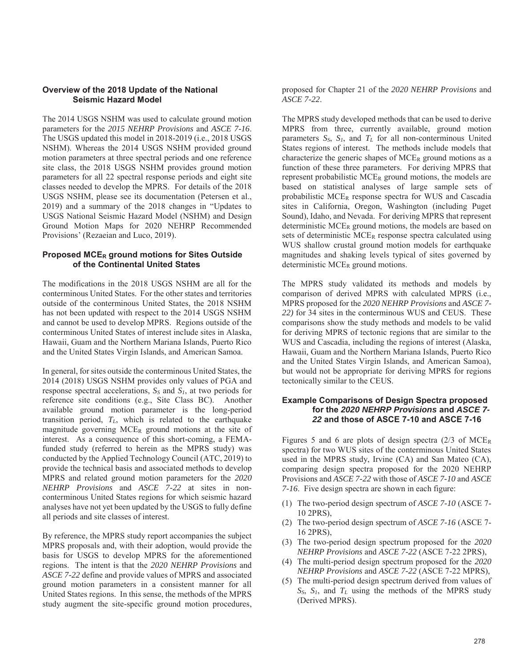## **Overview of the 2018 Update of the National Seismic Hazard Model**

The 2014 USGS NSHM was used to calculate ground motion parameters for the *2015 NEHRP Provisions* and *ASCE 7-16*. The USGS updated this model in 2018-2019 (i.e., 2018 USGS NSHM). Whereas the 2014 USGS NSHM provided ground motion parameters at three spectral periods and one reference site class, the 2018 USGS NSHM provides ground motion parameters for all 22 spectral response periods and eight site classes needed to develop the MPRS. For details of the 2018 USGS NSHM, please see its documentation (Petersen et al., 2019) and a summary of the 2018 changes in "Updates to USGS National Seismic Hazard Model (NSHM) and Design Ground Motion Maps for 2020 NEHRP Recommended Provisions' (Rezaeian and Luco, 2019).

## **Proposed MCER ground motions for Sites Outside of the Continental United States**

The modifications in the 2018 USGS NSHM are all for the conterminous United States. For the other states and territories outside of the conterminous United States, the 2018 NSHM has not been updated with respect to the 2014 USGS NSHM and cannot be used to develop MPRS. Regions outside of the conterminous United States of interest include sites in Alaska, Hawaii, Guam and the Northern Mariana Islands, Puerto Rico and the United States Virgin Islands, and American Samoa.

In general, for sites outside the conterminous United States, the 2014 (2018) USGS NSHM provides only values of PGA and response spectral accelerations,  $S_S$  and  $S_I$ , at two periods for reference site conditions (e.g., Site Class BC). Another available ground motion parameter is the long-period transition period, *TL*, which is related to the earthquake magnitude governing  $MCE_R$  ground motions at the site of interest. As a consequence of this short-coming, a FEMAfunded study (referred to herein as the MPRS study) was conducted by the Applied Technology Council (ATC, 2019) to provide the technical basis and associated methods to develop MPRS and related ground motion parameters for the *2020 NEHRP Provisions* and *ASCE 7-22* at sites in nonconterminous United States regions for which seismic hazard analyses have not yet been updated by the USGS to fully define all periods and site classes of interest.

By reference, the MPRS study report accompanies the subject MPRS proposals and, with their adoption, would provide the basis for USGS to develop MPRS for the aforementioned regions. The intent is that the *2020 NEHRP Provisions* and *ASCE 7-22* define and provide values of MPRS and associated ground motion parameters in a consistent manner for all United States regions. In this sense, the methods of the MPRS study augment the site-specific ground motion procedures, proposed for Chapter 21 of the *2020 NEHRP Provisions* and *ASCE 7-22*.

The MPRS study developed methods that can be used to derive MPRS from three, currently available, ground motion parameters  $S_S$ ,  $S_I$ , and  $T_L$  for all non-conterminous United States regions of interest. The methods include models that characterize the generic shapes of  $MCE_R$  ground motions as a function of these three parameters. For deriving MPRS that represent probabilistic MCER ground motions, the models are based on statistical analyses of large sample sets of probabilistic MCER response spectra for WUS and Cascadia sites in California, Oregon, Washington (including Puget Sound), Idaho, and Nevada. For deriving MPRS that represent deterministic  $MCE_R$  ground motions, the models are based on sets of deterministic MCER response spectra calculated using WUS shallow crustal ground motion models for earthquake magnitudes and shaking levels typical of sites governed by deterministic MCER ground motions.

The MPRS study validated its methods and models by comparison of derived MPRS with calculated MPRS (i.e., MPRS proposed for the *2020 NEHRP Provisions* and *ASCE 7- 22)* for 34 sites in the conterminous WUS and CEUS. These comparisons show the study methods and models to be valid for deriving MPRS of tectonic regions that are similar to the WUS and Cascadia, including the regions of interest (Alaska, Hawaii, Guam and the Northern Mariana Islands, Puerto Rico and the United States Virgin Islands, and American Samoa), but would not be appropriate for deriving MPRS for regions tectonically similar to the CEUS.

## **Example Comparisons of Design Spectra proposed for the** *2020 NEHRP Provisions* **and** *ASCE 7- 22* **and those of ASCE 7-10 and ASCE 7-16**

Figures 5 and 6 are plots of design spectra  $(2/3)$  of MCE<sub>R</sub> spectra) for two WUS sites of the conterminous United States used in the MPRS study, Irvine (CA) and San Mateo (CA), comparing design spectra proposed for the 2020 NEHRP Provisions and *ASCE 7-22* with those of *ASCE 7-10* and *ASCE 7-16*. Five design spectra are shown in each figure:

- (1) The two-period design spectrum of *ASCE 7-10* (ASCE 7- 10 2PRS),
- (2) The two-period design spectrum of *ASCE 7-16* (ASCE 7- 16 2PRS),
- (3) The two-period design spectrum proposed for the *2020 NEHRP Provisions* and *ASCE 7-22* (ASCE 7-22 2PRS),
- (4) The multi-period design spectrum proposed for the *2020 NEHRP Provisions* and *ASCE 7-22* (ASCE 7-22 MPRS),
- (5) The multi-period design spectrum derived from values of  $S<sub>S</sub>$ ,  $S<sub>I</sub>$ , and  $T<sub>L</sub>$  using the methods of the MPRS study (Derived MPRS).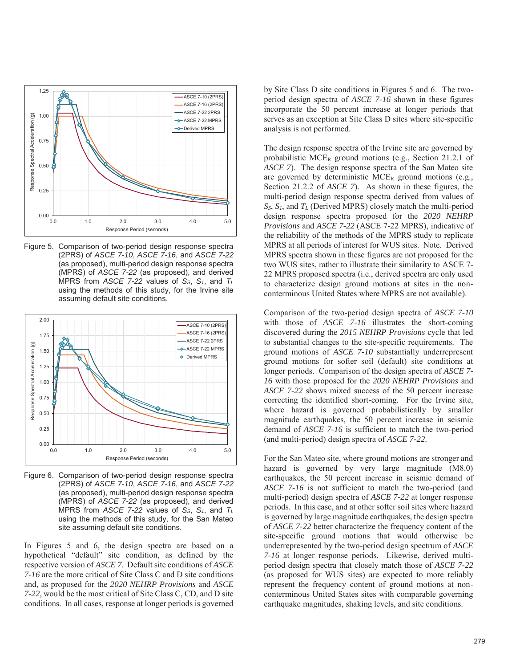

Figure 5. Comparison of two-period design response spectra (2PRS) of *ASCE 7-10*, *ASCE 7-16*, and *ASCE 7-22* (as proposed), multi-period design response spectra (MPRS) of *ASCE 7-22* (as proposed), and derived MPRS from *ASCE 7-22* values of *SS*, *S1*, and *TL* using the methods of this study, for the Irvine site assuming default site conditions.



Figure 6. Comparison of two-period design response spectra (2PRS) of *ASCE 7-10*, *ASCE 7-16*, and *ASCE 7-22* (as proposed), multi-period design response spectra (MPRS) of *ASCE 7-22* (as proposed), and derived MPRS from *ASCE 7-22* values of *SS*, *S1*, and *TL* using the methods of this study, for the San Mateo site assuming default site conditions.

In Figures 5 and 6, the design spectra are based on a hypothetical "default" site condition, as defined by the respective version of *ASCE 7*. Default site conditions of *ASCE 7-16* are the more critical of Site Class C and D site conditions and, as proposed for the *2020 NEHRP Provisions* and *ASCE 7-22*, would be the most critical of Site Class C, CD, and D site conditions. In all cases, response at longer periods is governed

by Site Class D site conditions in Figures 5 and 6. The twoperiod design spectra of *ASCE 7-16* shown in these figures incorporate the 50 percent increase at longer periods that serves as an exception at Site Class D sites where site-specific analysis is not performed.

The design response spectra of the Irvine site are governed by probabilistic MCER ground motions (e.g., Section 21.2.1 of *ASCE 7*). The design response spectra of the San Mateo site are governed by deterministic MCER ground motions (e.g., Section 21.2.2 of *ASCE 7*). As shown in these figures, the multi-period design response spectra derived from values of *SS*, *S1*, and *TL* (Derived MPRS) closely match the multi-period design response spectra proposed for the *2020 NEHRP Provisions* and *ASCE 7-22* (ASCE 7-22 MPRS), indicative of the reliability of the methods of the MPRS study to replicate MPRS at all periods of interest for WUS sites. Note. Derived MPRS spectra shown in these figures are not proposed for the two WUS sites, rather to illustrate their similarity to ASCE 7- 22 MPRS proposed spectra (i.e., derived spectra are only used to characterize design ground motions at sites in the nonconterminous United States where MPRS are not available).

Comparison of the two-period design spectra of *ASCE 7-10* with those of *ASCE 7-16* illustrates the short-coming discovered during the *2015 NEHRP Provisions* cycle that led to substantial changes to the site-specific requirements. The ground motions of *ASCE 7-10* substantially underrepresent ground motions for softer soil (default) site conditions at longer periods. Comparison of the design spectra of *ASCE 7- 16* with those proposed for the *2020 NEHRP Provisions* and *ASCE 7-22* shows mixed success of the 50 percent increase correcting the identified short-coming. For the Irvine site, where hazard is governed probabilistically by smaller magnitude earthquakes, the 50 percent increase in seismic demand of *ASCE 7-16* is sufficient to match the two-period (and multi-period) design spectra of *ASCE 7-22*.

For the San Mateo site, where ground motions are stronger and hazard is governed by very large magnitude (M8.0) earthquakes, the 50 percent increase in seismic demand of *ASCE 7-16* is not sufficient to match the two-period (and multi-period) design spectra of *ASCE 7-22* at longer response periods. In this case, and at other softer soil sites where hazard is governed by large magnitude earthquakes, the design spectra of *ASCE 7-22* better characterize the frequency content of the site-specific ground motions that would otherwise be underrepresented by the two-period design spectrum of *ASCE 7-16* at longer response periods. Likewise, derived multiperiod design spectra that closely match those of *ASCE 7-22* (as proposed for WUS sites) are expected to more reliably represent the frequency content of ground motions at nonconterminous United States sites with comparable governing earthquake magnitudes, shaking levels, and site conditions.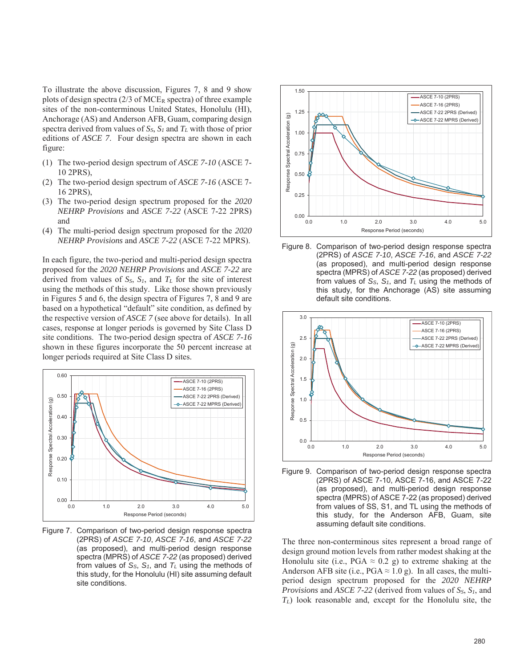To illustrate the above discussion, Figures 7, 8 and 9 show plots of design spectra  $(2/3 \text{ of MCE}_R \text{ spectra})$  of three example sites of the non-conterminous United States, Honolulu (HI), Anchorage (AS) and Anderson AFB, Guam, comparing design spectra derived from values of  $S_S$ ,  $S_I$  and  $T_L$  with those of prior editions of *ASCE 7*. Four design spectra are shown in each figure:

- (1) The two-period design spectrum of *ASCE 7-10* (ASCE 7- 10 2PRS),
- (2) The two-period design spectrum of *ASCE 7-16* (ASCE 7- 16 2PRS),
- (3) The two-period design spectrum proposed for the *2020 NEHRP Provisions* and *ASCE 7-22* (ASCE 7-22 2PRS) and
- (4) The multi-period design spectrum proposed for the *2020 NEHRP Provisions* and *ASCE 7-22* (ASCE 7-22 MPRS).

In each figure, the two-period and multi-period design spectra proposed for the *2020 NEHRP Provisions* and *ASCE 7-22* are derived from values of  $S_S$ ,  $S_I$ , and  $T_L$  for the site of interest using the methods of this study. Like those shown previously in Figures 5 and 6, the design spectra of Figures 7, 8 and 9 are based on a hypothetical "default" site condition, as defined by the respective version of *ASCE 7* (see above for details). In all cases, response at longer periods is governed by Site Class D site conditions. The two-period design spectra of *ASCE 7-16* shown in these figures incorporate the 50 percent increase at longer periods required at Site Class D sites.



Figure 7. Comparison of two-period design response spectra (2PRS) of *ASCE 7-10*, *ASCE 7-16*, and *ASCE 7-22* (as proposed), and multi-period design response spectra (MPRS) of *ASCE 7-22* (as proposed) derived from values of  $S_S$ ,  $S_t$ , and  $T_L$  using the methods of this study, for the Honolulu (HI) site assuming default site conditions.



Figure 8. Comparison of two-period design response spectra (2PRS) of *ASCE 7-10*, *ASCE 7-16*, and *ASCE 7-22* (as proposed), and multi-period design response spectra (MPRS) of *ASCE 7-22* (as proposed) derived from values of  $S_S$ ,  $S_I$ , and  $T_L$  using the methods of this study, for the Anchorage (AS) site assuming default site conditions.



Figure 9. Comparison of two-period design response spectra (2PRS) of ASCE 7-10, ASCE 7-16, and ASCE 7-22 (as proposed), and multi-period design response spectra (MPRS) of ASCE 7-22 (as proposed) derived from values of SS, S1, and TL using the methods of this study, for the Anderson AFB, Guam, site assuming default site conditions.

The three non-conterminous sites represent a broad range of design ground motion levels from rather modest shaking at the Honolulu site (i.e., PGA  $\approx$  0.2 g) to extreme shaking at the Anderson AFB site (i.e., PGA  $\approx$  1.0 g). In all cases, the multiperiod design spectrum proposed for the *2020 NEHRP Provisions* and *ASCE 7-22* (derived from values of *SS*, *S1*, and *TL*) look reasonable and, except for the Honolulu site, the